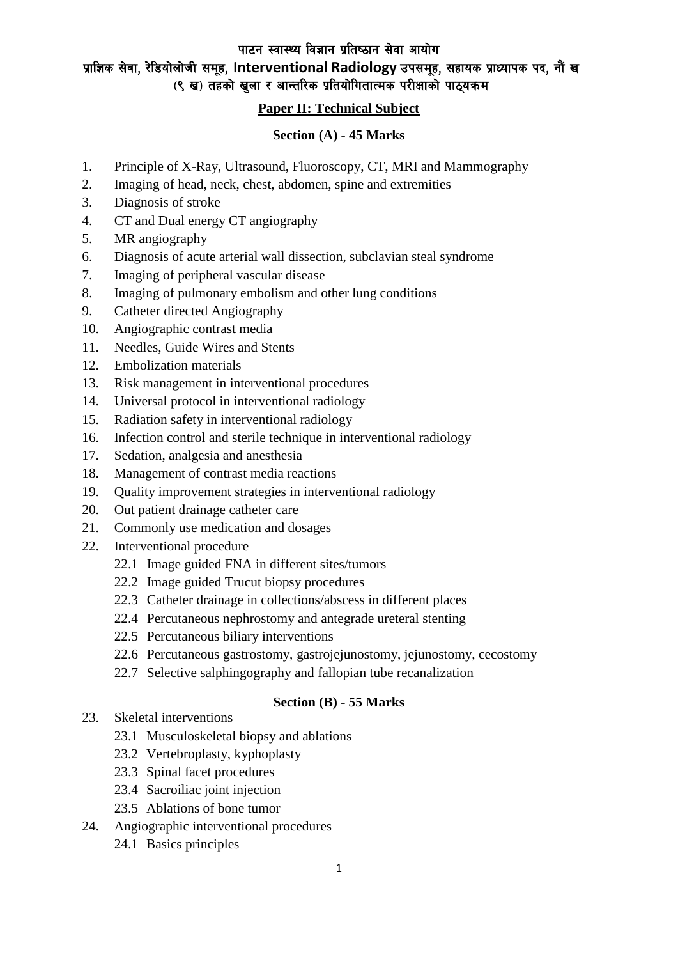पाटन स्वास्थ्य विज्ञान प्रतिष्ठान सेवा आयोग

## प्राज्ञिक सेवा, रेडियोलोजी समूह, Interventional Radiology उपसमूह, सहायक प्राध्यापक पद, नौं ख (९ ख) तहको खुला र आन्तरिक प्रतियोगितात्मक परीक्षाको पाठ्यक्रम

#### **Paper II: Technical Subject**

### **Section (A) - 45 Marks**

- 1. Principle of X-Ray, Ultrasound, Fluoroscopy, CT, MRI and Mammography
- 2. Imaging of head, neck, chest, abdomen, spine and extremities
- 3. Diagnosis of stroke
- 4. CT and Dual energy CT angiography
- 5. MR angiography
- 6. Diagnosis of acute arterial wall dissection, subclavian steal syndrome
- 7. Imaging of peripheral vascular disease
- 8. Imaging of pulmonary embolism and other lung conditions
- 9. Catheter directed Angiography
- 10. Angiographic contrast media
- 11. Needles, Guide Wires and Stents
- 12. Embolization materials
- 13. Risk management in interventional procedures
- 14. Universal protocol in interventional radiology
- 15. Radiation safety in interventional radiology
- 16. Infection control and sterile technique in interventional radiology
- 17. Sedation, analgesia and anesthesia
- 18. Management of contrast media reactions
- 19. Quality improvement strategies in interventional radiology
- 20. Out patient drainage catheter care
- 21. Commonly use medication and dosages
- 22. Interventional procedure
	- 22.1 Image guided FNA in different sites/tumors
	- 22.2 Image guided Trucut biopsy procedures
	- 22.3 Catheter drainage in collections/abscess in different places
	- 22.4 Percutaneous nephrostomy and antegrade ureteral stenting
	- 22.5 Percutaneous biliary interventions
	- 22.6 Percutaneous gastrostomy, gastrojejunostomy, jejunostomy, cecostomy
	- 22.7 Selective salphingography and fallopian tube recanalization

### **Section (B) - 55 Marks**

- 23. Skeletal interventions
	- 23.1 Musculoskeletal biopsy and ablations
	- 23.2 Vertebroplasty, kyphoplasty
	- 23.3 Spinal facet procedures
	- 23.4 Sacroiliac joint injection
	- 23.5 Ablations of bone tumor
- 24. Angiographic interventional procedures
	- 24.1 Basics principles